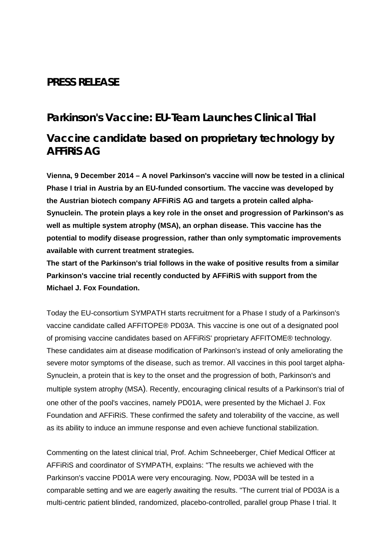## **PRESS RELEASE**

# **Parkinson's Vaccine: EU-Team Launches Clinical Trial Vaccine candidate based on proprietary technology by AFFiRiS AG**

**Vienna, 9 December 2014 – A novel Parkinson's vaccine will now be tested in a clinical Phase I trial in Austria by an EU-funded consortium. The vaccine was developed by the Austrian biotech company AFFiRiS AG and targets a protein called alpha-Synuclein. The protein plays a key role in the onset and progression of Parkinson's as well as multiple system atrophy (MSA), an orphan disease. This vaccine has the potential to modify disease progression, rather than only symptomatic improvements available with current treatment strategies.** 

**The start of the Parkinson's trial follows in the wake of positive results from a similar Parkinson's vaccine trial recently conducted by AFFiRiS with support from the Michael J. Fox Foundation.** 

Today the EU-consortium SYMPATH starts recruitment for a Phase I study of a Parkinson's vaccine candidate called AFFITOPE® PD03A. This vaccine is one out of a designated pool of promising vaccine candidates based on AFFiRiS' proprietary AFFITOME® technology. These candidates aim at disease modification of Parkinson's instead of only ameliorating the severe motor symptoms of the disease, such as tremor. All vaccines in this pool target alpha-Synuclein, a protein that is key to the onset and the progression of both, Parkinson's and multiple system atrophy (MSA). Recently, encouraging clinical results of a Parkinson's trial of one other of the pool's vaccines, namely PD01A, were presented by the Michael J. Fox Foundation and AFFiRiS. These confirmed the safety and tolerability of the vaccine, as well as its ability to induce an immune response and even achieve functional stabilization.

Commenting on the latest clinical trial, Prof. Achim Schneeberger, Chief Medical Officer at AFFiRiS and coordinator of SYMPATH, explains: "The results we achieved with the Parkinson's vaccine PD01A were very encouraging. Now, PD03A will be tested in a comparable setting and we are eagerly awaiting the results. "The current trial of PD03A is a multi-centric patient blinded, randomized, placebo-controlled, parallel group Phase I trial. It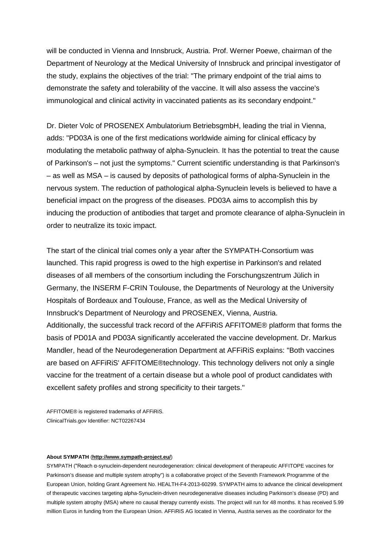will be conducted in Vienna and Innsbruck, Austria. Prof. Werner Poewe, chairman of the Department of Neurology at the Medical University of Innsbruck and principal investigator of the study, explains the objectives of the trial: "The primary endpoint of the trial aims to demonstrate the safety and tolerability of the vaccine. It will also assess the vaccine's immunological and clinical activity in vaccinated patients as its secondary endpoint."

Dr. Dieter Volc of PROSENEX Ambulatorium BetriebsgmbH, leading the trial in Vienna, adds: "PD03A is one of the first medications worldwide aiming for clinical efficacy by modulating the metabolic pathway of alpha-Synuclein. It has the potential to treat the cause of Parkinson's – not just the symptoms." Current scientific understanding is that Parkinson's – as well as MSA – is caused by deposits of pathological forms of alpha-Synuclein in the nervous system. The reduction of pathological alpha-Synuclein levels is believed to have a beneficial impact on the progress of the diseases. PD03A aims to accomplish this by inducing the production of antibodies that target and promote clearance of alpha-Synuclein in order to neutralize its toxic impact.

The start of the clinical trial comes only a year after the SYMPATH-Consortium was launched. This rapid progress is owed to the high expertise in Parkinson's and related diseases of all members of the consortium including the Forschungszentrum Jülich in Germany, the INSERM F-CRIN Toulouse, the Departments of Neurology at the University Hospitals of Bordeaux and Toulouse, France, as well as the Medical University of Innsbruck's Department of Neurology and PROSENEX, Vienna, Austria. Additionally, the successful track record of the AFFiRiS AFFITOME® platform that forms the basis of PD01A and PD03A significantly accelerated the vaccine development. Dr. Markus Mandler, head of the Neurodegeneration Department at AFFiRiS explains: "Both vaccines are based on AFFiRiS' AFFITOME®technology. This technology delivers not only a single vaccine for the treatment of a certain disease but a whole pool of product candidates with excellent safety profiles and strong specificity to their targets."

AFFITOME® is registered trademarks of AFFiRiS. ClinicalTrials.gov Identifier: NCT02267434

### **About SYMPATH** (**<http://www.sympath-project.eu/>**)

SYMPATH ("Reach α-synuclein-dependent neurodegeneration: clinical development of therapeutic AFFITOPE vaccines for Parkinson's disease and multiple system atrophy") is a collaborative project of the Seventh Framework Programme of the European Union, holding Grant Agreement No. HEALTH-F4-2013-60299. SYMPATH aims to advance the clinical development of therapeutic vaccines targeting alpha-Synuclein-driven neurodegenerative diseases including Parkinson's disease (PD) and multiple system atrophy (MSA) where no causal therapy currently exists. The project will run for 48 months. It has received 5.99 million Euros in funding from the European Union. AFFiRiS AG located in Vienna, Austria serves as the coordinator for the